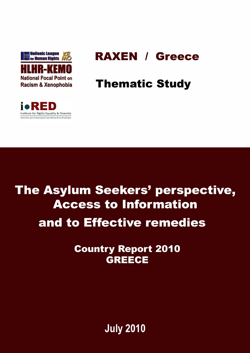

# **RAXEN / Greece**

# **Thematic Study**



The Asylum Seekers' perspective, **Access to Information** and to Effective remedies

> **Country Report 2010 GREECE**

> > **July 2010**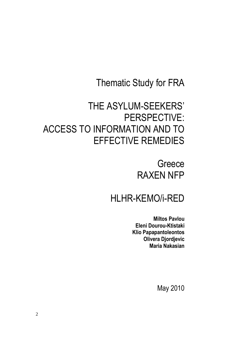## Thematic Study for FRA

## THE ASYLUM-SEEKERS' PERSPECTIVE: ACCESS TO INFORMATION AND TO EFFECTIVE REMEDIES

**Greece** RAXEN NFP

## HLHR-KEMO/i-RED

**Miltos Pavlou Eleni Dourou-Ktistaki Klio Papapantoleontos Olivera Djordjevic Maria Nakasian**

May 2010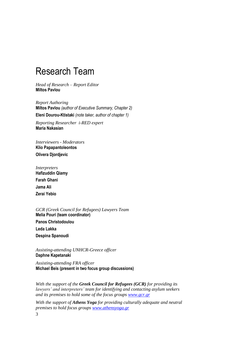## <span id="page-2-0"></span>Research Team

*Head of Research – Report Editor* **Miltos Pavlou**

*Report Authoring* **Miltos Pavlou** *(author of Executive Summary, Chapter 2)* **Eleni Dourou-Ktistaki** *(note taker, author of chapter 1)*

*Reporting Researcher i-RED expert* **Maria Nakasian**

*Interviewers - Moderators* **Klio Papapantoleontos Olivera Djordjevic**

*Interpreters* **Hafizuddin Qiamy Farah Ghani Jama Ali Ζerai Yebio**

*GCR (Greek Council for Refugees) Lawyers Team*  **Melia Pouri (team coordinator) Panos Christodoulou Leda Lakka Despina Spanoudi**

*Assisting-attending UNHCR-Greece officer* **Daphne Kapetanaki**

*Assisting-attending FRA officer* **Michael Beis (present in two focus group discussions)**

*With the support of the Greek Council for Refugees (GCR) for providing its lawyers' and interpreters' team for identifying and contacting asylum seekers and its premises to hold some of the focus groups [www.gcr.gr](http://www.gcr.gr/)*

*With the support of Athens Yoga for providing culturally adequate and neutral premises to hold focus groups [www.athensyoga.gr](http://www.athensyoga.gr/)*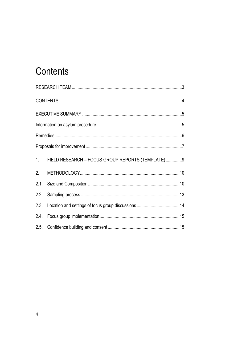# <span id="page-3-0"></span>Contents

| 1.   | FIELD RESEARCH - FOCUS GROUP REPORTS (TEMPLATE)9 |  |  |  |
|------|--------------------------------------------------|--|--|--|
| 2.   |                                                  |  |  |  |
|      |                                                  |  |  |  |
|      |                                                  |  |  |  |
|      |                                                  |  |  |  |
| 2.4. |                                                  |  |  |  |
|      |                                                  |  |  |  |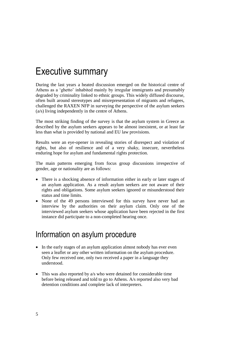## <span id="page-4-0"></span>Executive summary

During the last years a heated discussion emerged on the historical centre of Athens as a 'ghetto' inhabited mainly by irregular immigrants and presumably degraded by criminality linked to ethnic groups. This widely diffused discourse, often built around stereotypes and misrepresentation of migrants and refugees, challenged the RAXEN NFP in surveying the perspective of the asylum seekers (a/s) living independently in the centre of Athens.

The most striking finding of the survey is that the asylum system in Greece as described by the asylum seekers appears to be almost inexistent, or at least far less than what is provided by national and EU law provisions.

Results were an eye-opener in revealing stories of disrespect and violation of rights, but also of resilience and of a very shaky, insecure, nevertheless enduring hope for asylum and fundamental rights protection.

The main patterns emerging from focus group discussions irrespective of gender, age or nationality are as follows:

- There is a shocking absence of information either in early or later stages of an asylum application. As a result asylum seekers are not aware of their rights and obligations. Some asylum seekers ignored or misunderstood their status and time limits.
- None of the 49 persons interviewed for this survey have never had an interview by the authorities on their asylum claim. Only one of the interviewed asylum seekers whose application have been rejected in the first instance did participate to a non-completed hearing once.

### <span id="page-4-1"></span>Information on asylum procedure

- In the early stages of an asylum application almost nobody has ever even seen a leaflet or any other written information on the asylum procedure. Only few received one, only two received a paper in a language they understood.
- This was also reported by a/s who were detained for considerable time before being released and told to go to Athens. A/s reported also very bad detention conditions and complete lack of interpreters.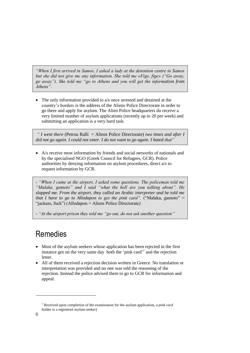*"When I first arrived in Samos, I asked a lady at the detention centre in Samos but she did not give me any information. She told me «Fige, fige» ("Go away, go away"). She told me "go to Athens and you will get the information from Athens".*

 The only information provided to a/s once arrested and detained at the country's borders is the address of the Aliens Police Directorate in order to go there and apply for asylum. The Alien Police headquarters do receive a very limited number of asylum applications (recently up to 20 per week) and submitting an application is a very hard task.

*" I went there* (Petrou Ralli = Aliens Police Directorate) *two times and after I did not go again. I could not enter. I do not want to go again. I hated that"*

 A/s receive most information by friends and social networks of nationals and by the specialised NGO (Greek Council for Refugees, GCR). Police authorities by denying information on asylum procedures, direct a/s to request information by GCR.

*- "When I came at the airport, I asked some questions. The policeman told me "Malaka, gamoto" and I said "what the hell are you talking about". He slapped me. From the airport, they called an Arabic interpreter and he told me that I have to go to Allodapon to get the pink card".* ("Malaka, gamoto" = "jackass, fuck") (Allodapon = Aliens Police Directorate*)*

*- "At the airport prison they told me "go out, do not ask another question"*

## <span id="page-5-0"></span>Remedies

- Most of the asylum seekers whose application has been rejected in the first instance got on the very same day both the 'pink card' 1 and the rejection letter.
- All of them received a rejection decision written in Greece. No translation or interpretation was provided and no one was told the reasoning of the rejection. Instead the police advised them to go to GCR for information and appeal.

1

<sup>1</sup> Received upon completion of the examination for the asylum application, a *pink card*  holder is a registered *asylum*-seeker)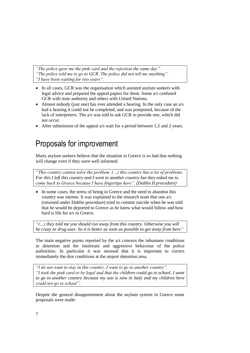*"The police gave me the pink card and the rejection the same day". "The police told me to go to GCR. The police did not tell me anything". "I have been waiting for two years".*

- In all cases, GCR was the organisation which assisted asylum seekers with legal advice and prepared the appeal papers for them. Some a/s confused GCR with state authority and others with United Nations.
- Almost nobody (just one) has ever attended a hearing. In the only case an  $a/s$ had a hearing it could not be completed, and was postponed, because of the lack of interpreters. The a/s was told to ask GCR to provide one, which did not occur.
- After submission of the appeal a/s wait for a period between 1,5 and 2 years.

### <span id="page-6-0"></span>Proposals for improvement

Many asylum seekers believe that the situation in Greece is so bad that nothing will change even if they were well informed.

*"This country cannot solve the problem. (…) this country has a lot of problems. For this I left this country and I went to another country but they asked me to come back to Greece because I have fingertips here". (Dublin II procedure)*

• In some cases, the stress of being in Greece and the need to abandon this country was intense. It was explained to the research team that one a/s (returned under Dublin procedure) tried to commit suicide when he was told that he would be deported to Greece as he knew what would follow and how hard is life for a/s in Greece.

*"(…) they told me you should run away from this country. Otherwise you will be crazy or drug user. So it is better as soon as possible to get away from here"*

The main negative points reported by the a/s concern the inhumane conditions in detention and the intolerant and aggressive behaviour of the police authorities. In particular it was stressed that it is important to correct immediately the dire conditions at the airport detention area.

*"I do not want to stay in this country. I want to go to another country". "I took the pink card to be legal and that the children could go to school. I want to go to another country because my son is now in Italy and my children here could not go to school".*

Despite the general disappointment about the asylum system in Greece some proposals were made: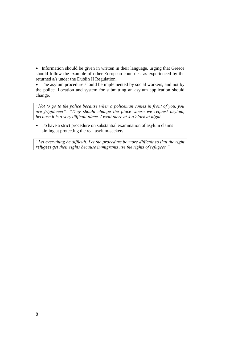• Information should be given in written in their language, urging that Greece should follow the example of other European countries, as experienced by the returned a/s under the Dublin II Regulation.

• The asylum procedure should be implemented by social workers, and not by the police. Location and system for submitting an asylum application should change.

*"Not to go to the police because when a policeman comes in front of you, you are frightened". "They should change the place where we request asylum, because it is a very difficult place. I went there at 4 o'clock at night."*

 To have a strict procedure on substantial examination of asylum claims aiming at protecting the real asylum-seekers.

*"Let everything be difficult. Let the procedure be more difficult so that the right refugees get their rights because immigrants use the rights of refugees."*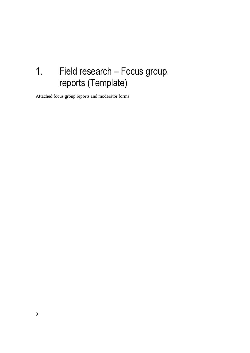# <span id="page-8-0"></span>1. Field research – Focus group reports (Template)

Attached focus group reports and moderator forms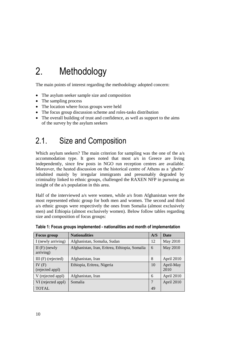# <span id="page-9-0"></span>2. Methodology

The main points of interest regarding the methodology adopted concern:

- The asylum seeker sample size and composition
- The sampling process
- The location where focus groups were held
- The focus group discussion scheme and roles-tasks distribution
- The overall building of trust and confidence, as well as support to the aims of the survey by the asylum seekers

## <span id="page-9-1"></span>2.1. Size and Composition

Which asylum seekers? The main criterion for sampling was the one of the a/s accommodation type. It goes noted that most a/s in Greece are living independently, since few posts in NGO run reception centres are available. Moreover, the heated discussion on the historical centre of Athens as a 'ghetto' inhabited mainly by irregular immigrants and presumably degraded by criminality linked to ethnic groups, challenged the RAXEN NFP in pursuing an insight of the a/s population in this area.

Half of the interviewed a/s were women, while a/s from Afghanistan were the most represented ethnic group for both men and women. The second and third a/s ethnic groups were respectively the ones from Somalia (almost exclusively men) and Ethiopia (almost exclusively women). Below follow tables regarding size and composition of focus groups:

| <b>Focus group</b>          | <b>Nationalities</b>                          | A/S            | <b>Date</b>       |
|-----------------------------|-----------------------------------------------|----------------|-------------------|
| I (newly arriving)          | Afghanistan, Somalia, Sudan                   | 12             | May 2010          |
| $II(F)$ (newly<br>arriving) | Afghanistan, Iran, Eritrea, Ethiopia, Somalia | 6              | May 2010          |
| III $(F)$ (rejected)        | Afghanistan, Iran                             | 8              | April 2010        |
| IV $(F)$<br>(rejected appl) | Ethiopia, Eritrea, Nigeria                    | 10             | April-May<br>2010 |
| V (rejected appl)           | Afghanistan, Iran                             | 6              | April 2010        |
| VI (rejected appl)          | Somalia                                       | $\overline{7}$ | April 2010        |
| <b>TOTAL</b>                |                                               | 49             |                   |

**Table 1: Focus groups implemented - nationalities and month of implementation**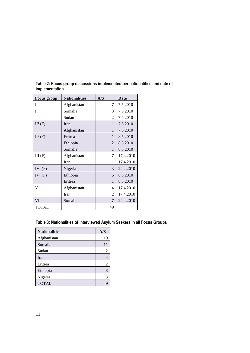| <b>Focus group</b> | <b>Nationalities</b> | A/S            | Date      |
|--------------------|----------------------|----------------|-----------|
| I <sup>1</sup>     | Afghanistan          | 7              | 7.5.2010  |
| $\mathbb{I}^2$     | Somalia              | 3              | 7.5.2010  |
|                    | Sudan                | 2              | 7.5.2010  |
| $II^1(F)$          | Iran                 | 1              | 7.5.2010  |
|                    | Afghanistan          | 1              | 7.5.2010  |
| $II^2$ (F)         | Eritrea              | $\mathbf{1}$   | 8.5.2010  |
|                    | Ethiopia             | $\mathfrak{D}$ | 8.5.2010  |
|                    | Somalia              | 1              | 8.5.2010  |
| III(F)             | Afghanistan          | 7              | 17.4.2010 |
|                    | Iran                 | 1              | 17.4.2010 |
| $IV^1(F)$          | Nigeria              | 3              | 24.4.2010 |
| $IV^2$ (F)         | Ethiopia             | 6              | 8.5.2010  |
|                    | Eritrea              | 1              | 8.5.2010  |
| v                  | Afghanistan          | 4              | 17.4.2010 |
|                    | Iran                 | $\mathfrak{D}$ | 17.4.2010 |
| VI                 | Somalia              | 7              | 24.4.2010 |
| <b>TOTAL</b>       |                      | 49             |           |

**Table 2: Focus group discussions implemented per nationalities and date of implementation**

#### **Table 3: Nationalities of interviewed Asylum Seekers in all Focus Groups**

| <b>Nationalities</b> | A/S |
|----------------------|-----|
| Afghanistan          | 19  |
| Somalia              | 11  |
| Sudan                | 2   |
| Iran                 | 4   |
| Eritrea              | 2   |
| Ethiopia             | 8   |
| Nigeria              | 3   |
| <b>TOTAL</b>         |     |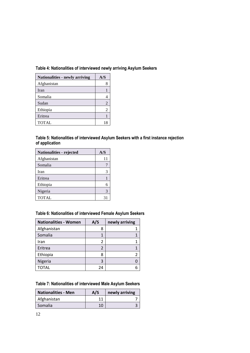#### **Table 4: Nationalities of interviewed newly arriving Asylum Seekers**

| <b>Nationalities - newly arriving</b> | A/S |
|---------------------------------------|-----|
| Afghanistan                           |     |
| Iran                                  |     |
| Somalia                               |     |
| Sudan                                 | 2   |
| Ethiopia                              | 2   |
| Eritrea                               |     |
| <b>TOTAL</b>                          |     |

#### **Table 5: Nationalities of interviewed Asylum Seekers with a first instance rejection of application**

| Nationalities - rejected | A/S |
|--------------------------|-----|
| Afghanistan              | 11  |
| Somalia                  |     |
| Iran                     |     |
| Eritrea                  |     |
| Ethiopia                 |     |
| Nigeria                  |     |
| <b>TOTAL</b>             | 3   |

#### **Table 6: Nationalities of interviewed Female Asylum Seekers**

| <b>Nationalities - Women</b> | A/S | newly arriving |
|------------------------------|-----|----------------|
| Afghanistan                  | 8   |                |
| Somalia                      |     |                |
| Iran                         | 2   |                |
| Eritrea                      | 2   |                |
| Ethiopia                     | ጸ   |                |
| Nigeria                      | ς   |                |
| TOTAL                        | 24  |                |

#### **Table 7: Nationalities of interviewed Male Asylum Seekers**

| <b>Nationalities - Men</b> | A/S | newly arriving |
|----------------------------|-----|----------------|
| Afghanistan                |     |                |
| Somalia                    | 10  |                |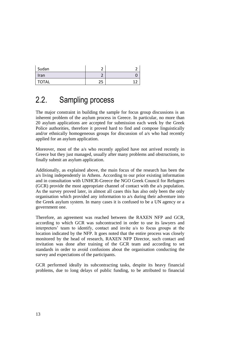| Sudan        | ∽        |        |
|--------------|----------|--------|
| Iran         |          |        |
| <b>TOTAL</b> | חר<br>دے | ∽<br>л |

## <span id="page-12-0"></span>2.2. Sampling process

The major constraint in building the sample for focus group discussions is an inherent problem of the asylum process in Greece. In particular, no more than 20 asylum applications are accepted for submission each week by the Greek Police authorities, therefore it proved hard to find and compose linguistically and/or ethnically homogeneous groups for discussion of a/s who had recently applied for an asylum application.

Moreover, most of the a/s who recently applied have not arrived recently in Greece but they just managed, usually after many problems and obstructions, to finally submit an asylum application.

Additionally, as explained above, the main focus of the research has been the a/s living independently in Athens. According to our prior existing information and in consultation with UNHCR-Greece the NGO Greek Council for Refugees (GCR) provide the most appropriate channel of contact with the a/s population. As the survey proved later, in almost all cases this has also only been the only organisation which provided any information to a/s during their adventure into the Greek asylum system. In many cases it is confused to be a UN agency or a government one.

Therefore, an agreement was reached between the RAXEN NFP and GCR, according to which GCR was subcontracted in order to use its lawyers and interpreters' team to identify, contact and invite a/s to focus groups at the location indicated by the NFP. It goes noted that the entire process was closely monitored by the head of research, RAXEN NFP Director, such contact and invitation was done after training of the GCR team and according to set standards in order to avoid confusions about the organisation conducting the survey and expectations of the participants.

GCR performed ideally its subcontracting tasks, despite its heavy financial problems, due to long delays of public funding, to be attributed to financial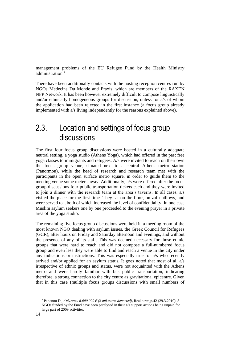management problems of the EU Refugee Fund by the Health Ministry administration<sup>2</sup>

There have been additionally contacts with the hosting reception centres run by NGOs Medecins Du Monde and Praxis, which are members of the RAXEN NFP Network. It has been however extremely difficult to compose linguistically and/or ethnically homogeneous groups for discussion, unless for a/s of whom the application had been rejected in the first instance (a focus group already implemented with a/s living independently for the reasons explained above).

### <span id="page-13-0"></span>2.3. Location and settings of focus group discussions

The first four focus group discussions were hosted in a culturally adequate neutral setting, a yoga studio (Athens Yoga), which had offered in the past free yoga classes to immigrants and refugees. A/s were invited to reach on their own the focus group venue, situated next to a central Athens metro station (Panormou), while the head of research and research team met with the participants in the open surface metro square, in order to guide them to the meeting venue some meters away. Additionally, a/s were offered after the focus group discussions four public transportation tickets each and they were invited to join a dinner with the research team at the area's taverns. In all cases, a/s visited the place for the first time. They sat on the floor, on zafu pillows, and were served tea, both of which increased the level of confidentiality. In one case Muslim asylum seekers one by one proceeded to the evening prayer in a private area of the yoga studio.

The remaining five focus group discussions were held in a meeting room of the most known NGO dealing with asylum issues, the Greek Council for Refugees (GCR), after hours on Friday and Saturday afternoon and evenings, and without the presence of any of its staff. This was deemed necessary for those ethnic groups that were hard to reach and did not compose a full-numbered focus group and even less they were able to find and reach a venue in the city under any indications or instructions. This was especially true for a/s who recently arrived and/or applied for an asylum status. It goes noted that most of all  $a/s$ irrespective of ethnic groups and status, were not acquainted with the Athens metro and were hardly familiar with bus public transportation, indicating therefore, a strong connection to the city centre as gravitational epicentre. Given that in this case (multiple focus groups discussions with small numbers of

-

<sup>2</sup> Pananou D., *Απέλασαν 6.000.000 € (6 mil.euros deported)*, Real news,p.42 (29.3.2010). 8 NGOs funded by the Fund have been paralysed in their a/s support actions being unpaid for large part of 2009 activities.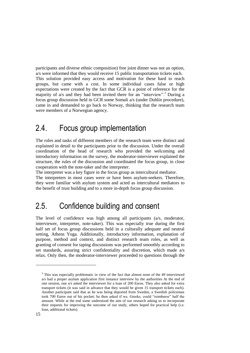participants and diverse ethnic composition) free joint dinner was not an option, a/s were informed that they would receive 15 public transportation tickets each. This solution provided easy access and motivation for these hard to reach groups, but came with a cost. In some individual cases false or high expectations were created by the fact that GCR is a point of reference for the majority of a/s and they had been invited there for an "interview".<sup>3</sup> During a focus group discussion held in GCR some Somali a/s (under Dublin procedure), came in and demanded to go back to Norway, thinking that the research team were members of a Norwegian agency.

### <span id="page-14-0"></span>2.4. Focus group implementation

The roles and tasks of different members of the research team were distinct and explained in detail to the participants prior to the discussion. Under the overall coordination of the head of research who provided the welcoming and introductory information on the survey, the moderator-interviewer explained the structure, the rules of the discussion and coordinated the focus group, in close cooperation with the note-taker and the interpreter.

The interpreter was a key figure in the focus group as intercultural mediator. The interpreters in most cases were or have been asylum-seekers. Therefore, they were familiar with asylum system and acted as intercultural mediators to the benefit of trust building and to a more in-depth focus group discussion.

### <span id="page-14-1"></span>2.5. Confidence building and consent

The level of confidence was high among all participants (a/s, moderator, interviewer, interpreter, note-taker). This was especially true during the first half set of focus group discussions held in a culturally adequate and neutral setting, Athens Yoga. Additionally, introductory information, explanation of purpose, method and context, and distinct research team roles, as well as granting of consent for taping discussions was performed smoothly according to set standards, assuring strict confidentiality and discretion, which made a/s relax. Only then, the moderator-interviewer proceeded to questions through the

-

<sup>&</sup>lt;sup>3</sup> This was especially problematic in view of the fact that almost none of the 49 interviewed a/s had a proper asylum application first instance interview by the authorities At the end of one session, one a/s asked the interviewer for a loan of 200 Euros. They also asked for extra transport tickets (it was said in advance that they would be given 15 transport tickets each). Another participant said that as he was being deported from Sweden, a Swedish policeman took 700 Euros out of his pocket; he then asked if we, Greeks, could "reimburse" half the amount. While at the end some understood the aim of our research asking us to incorporate their requests for improving the outcome of our study, others hoped for practical help (i.e. loan, additional tickets).